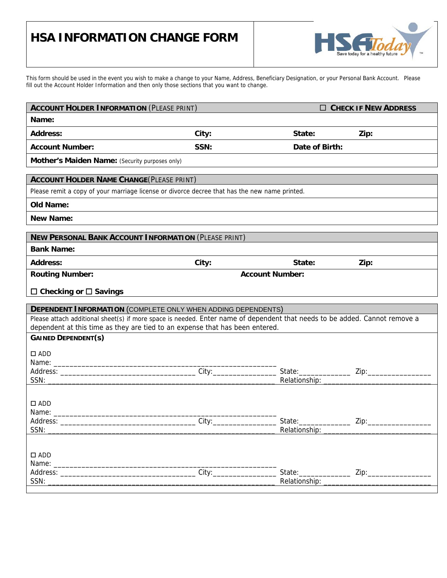## **HSA INFORMATION CHANGE FORM**



This form should be used in the event you wish to make a change to your Name, Address, Beneficiary Designation, or your Personal Bank Account. Please fill out the Account Holder Information and then only those sections that you want to change.

| <b>ACCOUNT HOLDER INFORMATION (PLEASE PRINT)</b>                                                                           |                        |                                                       | $\Box$ CHECK IF NEW ADDRESS |  |  |  |
|----------------------------------------------------------------------------------------------------------------------------|------------------------|-------------------------------------------------------|-----------------------------|--|--|--|
| Name:                                                                                                                      |                        |                                                       |                             |  |  |  |
| <b>Address:</b>                                                                                                            | City:                  | State:                                                | Zip:                        |  |  |  |
| <b>Account Number:</b>                                                                                                     | SSN:                   | Date of Birth:                                        |                             |  |  |  |
| Mother's Maiden Name: (Security purposes only)                                                                             |                        |                                                       |                             |  |  |  |
| <b>ACCOUNT HOLDER NAME CHANGE (PLEASE PRINT)</b>                                                                           |                        |                                                       |                             |  |  |  |
| Please remit a copy of your marriage license or divorce decree that has the new name printed.                              |                        |                                                       |                             |  |  |  |
| <b>Old Name:</b>                                                                                                           |                        |                                                       |                             |  |  |  |
| <b>New Name:</b>                                                                                                           |                        |                                                       |                             |  |  |  |
| <b>NEW PERSONAL BANK ACCOUNT INFORMATION (PLEASE PRINT)</b>                                                                |                        |                                                       |                             |  |  |  |
| <b>Bank Name:</b>                                                                                                          |                        |                                                       |                             |  |  |  |
| <b>Address:</b>                                                                                                            | City:                  | State:                                                | Zip:                        |  |  |  |
| <b>Routing Number:</b>                                                                                                     | <b>Account Number:</b> |                                                       |                             |  |  |  |
| $\Box$ Checking or $\Box$ Savings                                                                                          |                        |                                                       |                             |  |  |  |
| <b>DEPENDENT INFORMATION (COMPLETE ONLY WHEN ADDING DEPENDENTS)</b>                                                        |                        |                                                       |                             |  |  |  |
| Please attach additional sheet(s) if more space is needed. Enter name of dependent that needs to be added. Cannot remove a |                        |                                                       |                             |  |  |  |
| dependent at this time as they are tied to an expense that has been entered.                                               |                        |                                                       |                             |  |  |  |
| <b>GAINED DEPENDENT(S)</b>                                                                                                 |                        |                                                       |                             |  |  |  |
| $\square$ ADD                                                                                                              |                        |                                                       |                             |  |  |  |
|                                                                                                                            |                        |                                                       |                             |  |  |  |
|                                                                                                                            |                        |                                                       |                             |  |  |  |
|                                                                                                                            |                        |                                                       |                             |  |  |  |
|                                                                                                                            |                        |                                                       |                             |  |  |  |
|                                                                                                                            |                        |                                                       |                             |  |  |  |
| $\square$ ADD                                                                                                              |                        |                                                       |                             |  |  |  |
| Name: Name:                                                                                                                |                        |                                                       |                             |  |  |  |
| SSN:                                                                                                                       |                        | Relationship: _                                       |                             |  |  |  |
|                                                                                                                            |                        |                                                       |                             |  |  |  |
| $\Box$ ADD                                                                                                                 |                        |                                                       |                             |  |  |  |
|                                                                                                                            |                        |                                                       |                             |  |  |  |
| SSN:                                                                                                                       |                        | State: National Contract of State:<br>Relationship: _ |                             |  |  |  |